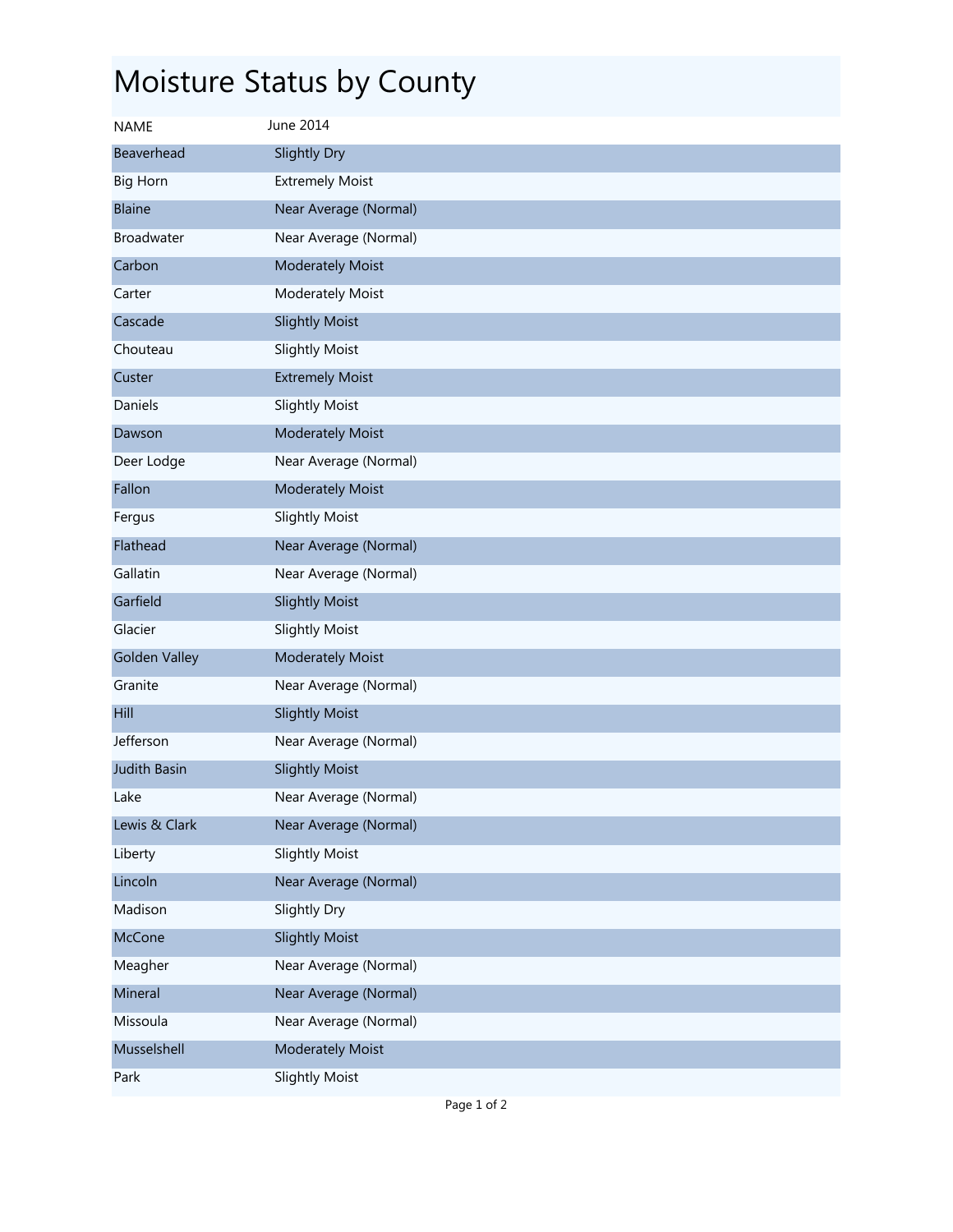## Moisture Status by County

| <b>NAME</b>          | June 2014               |
|----------------------|-------------------------|
| Beaverhead           | Slightly Dry            |
| <b>Big Horn</b>      | <b>Extremely Moist</b>  |
| <b>Blaine</b>        | Near Average (Normal)   |
| <b>Broadwater</b>    | Near Average (Normal)   |
| Carbon               | <b>Moderately Moist</b> |
| Carter               | Moderately Moist        |
| Cascade              | <b>Slightly Moist</b>   |
| Chouteau             | <b>Slightly Moist</b>   |
| Custer               | <b>Extremely Moist</b>  |
| Daniels              | <b>Slightly Moist</b>   |
| Dawson               | <b>Moderately Moist</b> |
| Deer Lodge           | Near Average (Normal)   |
| Fallon               | <b>Moderately Moist</b> |
| Fergus               | <b>Slightly Moist</b>   |
| Flathead             | Near Average (Normal)   |
| Gallatin             | Near Average (Normal)   |
| Garfield             | <b>Slightly Moist</b>   |
| Glacier              | <b>Slightly Moist</b>   |
| <b>Golden Valley</b> | <b>Moderately Moist</b> |
| Granite              | Near Average (Normal)   |
| Hill                 | <b>Slightly Moist</b>   |
| Jefferson            | Near Average (Normal)   |
| <b>Judith Basin</b>  | <b>Slightly Moist</b>   |
| Lake                 | Near Average (Normal)   |
| Lewis & Clark        | Near Average (Normal)   |
| Liberty              | <b>Slightly Moist</b>   |
| Lincoln              | Near Average (Normal)   |
| Madison              | Slightly Dry            |
| McCone               | <b>Slightly Moist</b>   |
| Meagher              | Near Average (Normal)   |
| Mineral              | Near Average (Normal)   |
| Missoula             | Near Average (Normal)   |
| Musselshell          | <b>Moderately Moist</b> |
| Park                 | <b>Slightly Moist</b>   |